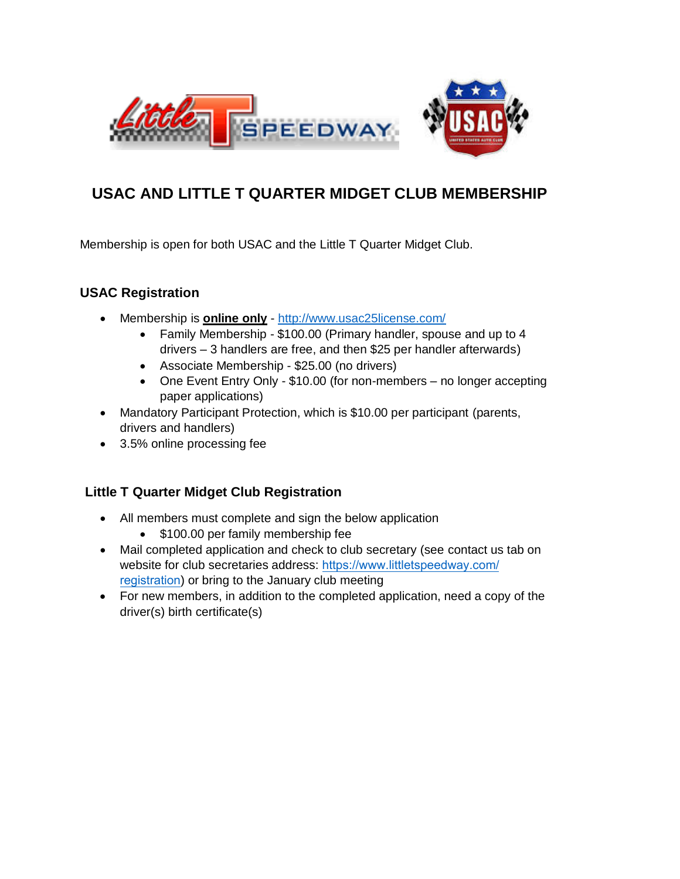

## **USAC AND LITTLE T QUARTER MIDGET CLUB MEMBERSHIP**

Membership is open for both USAC and the Little T Quarter Midget Club.

## **USAC Registration**

- Membership is **online only** -<http://www.usac25license.com/>
	- Family Membership \$100.00 (Primary handler, spouse and up to 4 drivers – 3 handlers are free, and then \$25 per handler afterwards)
	- Associate Membership \$25.00 (no drivers)
	- One Event Entry Only \$10.00 (for non-members no longer accepting paper applications)
- Mandatory Participant Protection, which is \$10.00 per participant (parents, drivers and handlers)
- 3.5% online processing fee

## **Little T Quarter Midget Club Registration**

- All members must complete and sign the below application
	- \$100.00 per family membership fee
- Mail completed application and check to club secretary (see contact us tab on website for club secretaries address: [https://www.littletspeedway.com/](http://www.littletspeedway.org/contact-us/board-of-directors.html) registration[\) or bring to the](http://www.littletspeedway.org/contact-us/board-of-directors.html) January club meeting
- For new members, in addition to the completed application, need a copy of the driver(s) birth certificate(s)